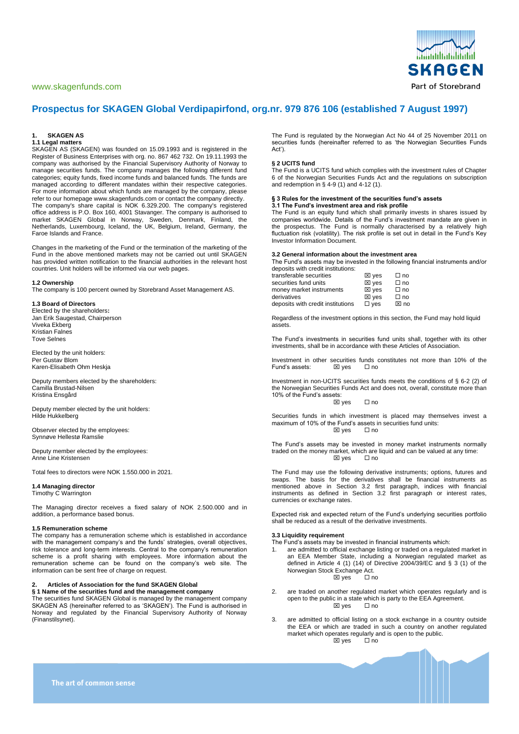# [www.skagenfunds.com](http://www.skagenfondene.no/)



# **Prospectus for SKAGEN Global Verdipapirfond, org.nr. 979 876 106 (established 7 August 1997)**

### **1. SKAGEN AS**

# **1.1 Legal matters**

SKAGEN AS (SKAGEN) was founded on 15.09.1993 and is registered in the Register of Business Enterprises with org. no. 867 462 732. On 19.11.1993 the company was authorised by the Financial Supervisory Authority of Norway to manage securities funds. The company manages the following different fund categories; equity funds, fixed income funds and balanced funds. The funds are managed according to different mandates within their respective categories. For more information about which funds are managed by the company, please refer to our homepage www.skagenfunds.com or contact the company directly. The company's share capital is NOK 6.329.200. The company's registered office address is P.O. Box 160, 4001 Stavanger. The company is authorised to market SKAGEN Global in Norway, Sweden, Denmark, Finland, the Netherlands, Luxembourg, Iceland, the UK, Belgium, Ireland, Germany, the Faroe Islands and France.

Changes in the marketing of the Fund or the termination of the marketing of the Fund in the above mentioned markets may not be carried out until SKAGEN has provided written notification to the financial authorities in the relevant host countries. Unit holders will be informed via our web pages.

#### **1.2 Ownership**

The company is 100 percent owned by Storebrand Asset Management AS.

# **1.3 Board of Directors**

Elected by the shareholders**:** Jan Erik Saugestad, Chairperson Viveka Ekberg Kristian Falnes Tove Selnes

Elected by the unit holders: Per Gustav Blom Karen-Elisabeth Ohm Heskja

Deputy members elected by the shareholders: Camilla Brustad-Nilsen Kristina Ensgård

Deputy member elected by the unit holders: Hilde Hukkelberg

Observer elected by the employees: Synnøve Hellestø Ramslie

Deputy member elected by the employees: Anne Line Kristensen

Total fees to directors were NOK 1.550.000 in 2021.

### **1.4 Managing director**

Timothy C Warrington

The Managing director receives a fixed salary of NOK 2.500.000 and in addition, a performance based bonus.

# **1.5 Remuneration scheme**

The company has a remuneration scheme which is established in accordance with the management company's and the funds' strategies, overall objectives, risk tolerance and long-term interests. Central to the company's remuneration scheme is a profit sharing with employees. More information about the remuneration scheme can be found on the company's web site. The information can be sent free of charge on request.

# **2. Articles of Association for the fund SKAGEN Global**

**§ 1 Name of the securities fund and the management company** The securities fund SKAGEN Global is managed by the management company SKAGEN AS (hereinafter referred to as 'SKAGEN'). The Fund is authorised in Norway and regulated by the Financial Supervisory Authority of Norway (Finanstilsynet).

The Fund is regulated by the Norwegian Act No 44 of 25 November 2011 on securities funds (hereinafter referred to as 'the Norwegian Securities Funds Act').

# **§ 2 UCITS fund**

The Fund is a UCITS fund which complies with the investment rules of Chapter 6 of the Norwegian Securities Funds Act and the regulations on subscription and redemption in § 4-9 (1) and 4-12 (1).

# **§ 3 Rules for the investment of the securities fund's assets**

**3.1 The Fund's investment area and risk profile** The Fund is an equity fund which shall primarily invests in shares issued by companies worldwide. Details of the Fund's investment mandate are given in the prospectus. The Fund is normally characterised by a relatively high fluctuation risk (volatility). The risk profile is set out in detail in the Fund's Key Investor Information Document.

### **3.2 General information about the investment area**

The Fund's assets may be invested in the following financial instruments and/or deposits with credit institutions:

| transferable securities           | ⊠ yes           | $\Box$ no |
|-----------------------------------|-----------------|-----------|
| securities fund units             | $\boxtimes$ ves | $\Box$ no |
| money market instruments          | $\boxtimes$ ves | $\Box$ no |
| derivatives                       | $\boxtimes$ ves | $\Box$ no |
| deposits with credit institutions | $\square$ yes   | ⊠ no      |

Regardless of the investment options in this section, the Fund may hold liquid assets.

The Fund's investments in securities fund units shall, together with its other investments, shall be in accordance with these Articles of Association.

Investment in other securities funds constitutes not more than 10% of the Fund's assets:  $\boxtimes$  yes  $\Box$  no Fund's assets:

Investment in non-UCITS securities funds meets the conditions of § 6-2 (2) of the Norwegian Securities Funds Act and does not, overall, constitute more than 10% of the Fund's assets:

# ⊠ ves □ no

Securities funds in which investment is placed may themselves invest a maximum of 10% of the Fund's assets in securities fund units:<br> $\Box$  ves<br> $\Box$  no  $\boxtimes$  yes

The Fund's assets may be invested in money market instruments normally traded on the money market, which are liquid and can be valued at any time: ⊠ yes □ no

The Fund may use the following derivative instruments; options, futures and swaps. The basis for the derivatives shall be financial instruments as mentioned above in Section 3.2 first paragraph, indices with financial instruments as defined in Section 3.2 first paragraph or interest rates, currencies or exchange rates.

Expected risk and expected return of the Fund's underlying securities portfolio shall be reduced as a result of the derivative investments.

#### **3.3 Liquidity requirement**

The Fund's assets may be invested in financial instruments which:

- 1. are admitted to official exchange listing or traded on a regulated market in an EEA Member State, including a Norwegian regulated market as defined in Article 4 (1) (14) of Directive 2004/39/EC and § 3 (1) of the Norwegian Stock Exchange Act.  $\boxtimes$  yes
- 2. are traded on another regulated market which operates regularly and is open to the public in a state which is party to the EEA Agreement.  $\boxtimes$  yes  $\Box$  no
- 3. are admitted to official listing on a stock exchange in a country outside the EEA or which are traded in such a country on another regulated market which operates regularly and is open to the public. **⊠** yes □ no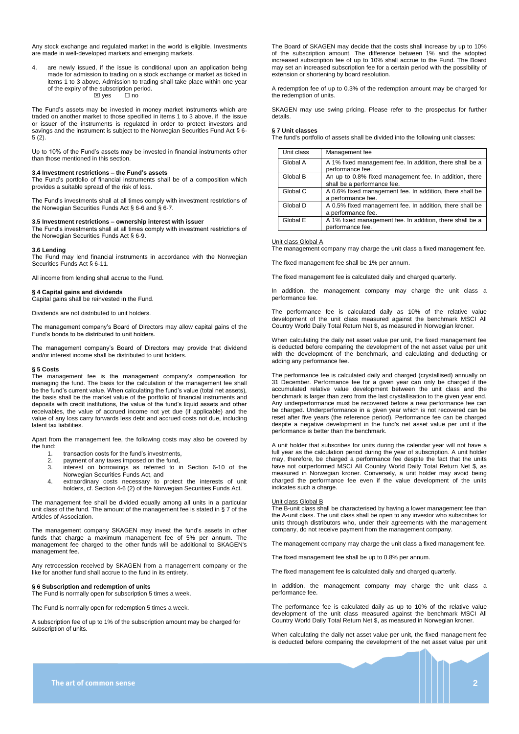Any stock exchange and regulated market in the world is eligible. Investments are made in well-developed markets and emerging markets.

4. are newly issued, if the issue is conditional upon an application being made for admission to trading on a stock exchange or market as ticked in items 1 to 3 above. Admission to trading shall take place within one year of the expiry of the subscription period.  $\boxtimes$  yes  $\Box$  no

The Fund's assets may be invested in money market instruments which are traded on another market to those specified in items 1 to 3 above, if the issue or issuer of the instruments is regulated in order to protect investors and savings and the instrument is subject to the Norwegian Securities Fund Act § 6-5 (2).

Up to 10% of the Fund's assets may be invested in financial instruments other than those mentioned in this section.

#### **3.4 Investment restrictions – the Fund's assets**

The Fund's portfolio of financial instruments shall be of a composition which provides a suitable spread of the risk of loss.

The Fund's investments shall at all times comply with investment restrictions of the Norwegian Securities Funds Act § 6-6 and § 6-7.

# **3.5 Investment restrictions – ownership interest with issuer**

The Fund's investments shall at all times comply with investment restrictions of the Norwegian Securities Funds Act § 6-9.

#### **3.6 Lending**

The Fund may lend financial instruments in accordance with the Norwegian Securities Funds Act § 6-11.

All income from lending shall accrue to the Fund.

#### **§ 4 Capital gains and dividends**

Capital gains shall be reinvested in the Fund.

Dividends are not distributed to unit holders.

The management company's Board of Directors may allow capital gains of the Fund's bonds to be distributed to unit holders.

The management company's Board of Directors may provide that dividend and/or interest income shall be distributed to unit holders.

#### **§ 5 Costs**

The management fee is the management company's compensation for managing the fund. The basis for the calculation of the management fee shall be the fund's current value. When calculating the fund's value (total net assets), the basis shall be the market value of the portfolio of financial instruments and deposits with credit institutions, the value of the fund's liquid assets and other receivables, the value of accrued income not yet due (if applicable) and the value of any loss carry forwards less debt and accrued costs not due, including latent tax liabilities.

Apart from the management fee, the following costs may also be covered by the fund:

- 1. transaction costs for the fund's investments,
- 2. payment of any taxes imposed on the fund,
- 3. interest on borrowings as referred to in Section 6-10 of the Norwegian Securities Funds Act, and
- 4. extraordinary costs necessary to protect the interests of unit holders, cf. Section 4-6 (2) of the Norwegian Securities Funds Act.

The management fee shall be divided equally among all units in a particular unit class of the fund. The amount of the management fee is stated in § 7 of the Articles of Association.

The management company SKAGEN may invest the fund's assets in other funds that charge a maximum management fee of 5% per annum. The management fee charged to the other funds will be additional to SKAGEN's management fee.

Any retrocession received by SKAGEN from a management company or the like for another fund shall accrue to the fund in its entirety.

# **§ 6 Subscription and redemption of units**

The Fund is normally open for subscription 5 times a week.

The Fund is normally open for redemption 5 times a week.

A subscription fee of up to 1% of the subscription amount may be charged for subscription of units.

The Board of SKAGEN may decide that the costs shall increase by up to 10% of the subscription amount. The difference between 1% and the adopted increased subscription fee of up to 10% shall accrue to the Fund. The Board may set an increased subscription fee for a certain period with the possibility of extension or shortening by board resolution.

A redemption fee of up to 0.3% of the redemption amount may be charged for the redemption of units.

SKAGEN may use swing pricing. Please refer to the prospectus for further details.

#### **§ 7 Unit classes**

The fund's portfolio of assets shall be divided into the following unit classes:

| Unit class | Management fee                                                                        |
|------------|---------------------------------------------------------------------------------------|
| Global A   | A 1% fixed management fee. In addition, there shall be a<br>performance fee.          |
| Global B   | An up to 0.8% fixed management fee. In addition, there<br>shall be a performance fee. |
| Global C   | A 0.6% fixed management fee. In addition, there shall be<br>a performance fee.        |
| Global D   | A 0.5% fixed management fee. In addition, there shall be<br>a performance fee.        |
| Global E   | A 1% fixed management fee. In addition, there shall be a<br>performance fee.          |

#### Unit class Global A

The management company may charge the unit class a fixed management fee.

The fixed management fee shall be 1% per annum.

The fixed management fee is calculated daily and charged quarterly.

In addition, the management company may charge the unit class a performance fee.

The performance fee is calculated daily as 10% of the relative value development of the unit class measured against the benchmark MSCI All Country World Daily Total Return Net \$, as measured in Norwegian kroner.

When calculating the daily net asset value per unit, the fixed management fee is deducted before comparing the development of the net asset value per unit with the development of the benchmark, and calculating and deducting or adding any performance fee.

The performance fee is calculated daily and charged (crystallised) annually on 31 December. Performance fee for a given year can only be charged if the accumulated relative value development between the unit class and the benchmark is larger than zero from the last crystallisation to the given year end. Any underperformance must be recovered before a new performance fee can be charged. Underperformance in a given year which is not recovered can be reset after five years (the reference period). Performance fee can be charged despite a negative development in the fund's net asset value per unit if the performance is better than the benchmark.

A unit holder that subscribes for units during the calendar year will not have a full year as the calculation period during the year of subscription. A unit holder may, therefore, be charged a performance fee despite the fact that the units have not outperformed MSCI AII Country World Daily Total Return Net \$, as measured in Norwegian kroner. Conversely, a unit holder may avoid being charged the performance fee even if the value development of the units indicates such a charge.

### Unit class Global B

The B-unit class shall be characterised by having a lower management fee than the A-unit class. The unit class shall be open to any investor who subscribes for units through distributors who, under their agreements with the management company, do not receive payment from the management company.

The management company may charge the unit class a fixed management fee.

The fixed management fee shall be up to 0.8% per annum.

The fixed management fee is calculated daily and charged quarterly.

In addition, the management company may charge the unit class a performance fee.

The performance fee is calculated daily as up to 10% of the relative value development of the unit class measured against the benchmark MSCI All Country World Daily Total Return Net \$, as measured in Norwegian kroner.

When calculating the daily net asset value per unit, the fixed management fee is deducted before comparing the development of the net asset value per unit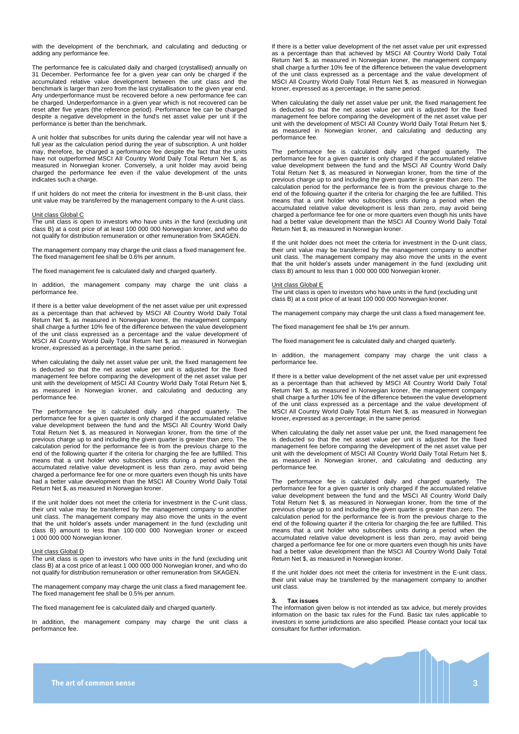with the development of the benchmark, and calculating and deducting or adding any performance fee.

The performance fee is calculated daily and charged (crystallised) annually on 31 December. Performance fee for a given year can only be charged if the accumulated relative value development between the unit class and the benchmark is larger than zero from the last crystallisation to the given year end. Any underperformance must be recovered before a new performance fee can be charged. Underperformance in a given year which is not recovered can be reset after five years (the reference period). Performance fee can be charged despite a negative development in the fund's net asset value per unit if the performance is better than the benchmark.

A unit holder that subscribes for units during the calendar year will not have a full year as the calculation period during the year of subscription. A unit holder may, therefore, be charged a performance fee despite the fact that the units have not outperformed MSCI AII Country World Daily Total Return Net \$, as measured in Norwegian kroner. Conversely, a unit holder may avoid being charged the performance fee even if the value development of the units indicates such a charge.

If unit holders do not meet the criteria for investment in the B-unit class, their unit value may be transferred by the management company to the A-unit class.

#### Unit class Global C

The unit class is open to investors who have units in the fund (excluding unit class B) at a cost price of at least 100 000 000 Norwegian kroner, and who do not qualify for distribution remuneration or other remuneration from SKAGEN.

The management company may charge the unit class a fixed management fee. The fixed management fee shall be 0.6% per annum.

The fixed management fee is calculated daily and charged quarterly.

In addition, the management company may charge the unit class a performance fee.

If there is a better value development of the net asset value per unit expressed as a percentage than that achieved by MSCI All Country World Daily Total Return Net \$, as measured in Norwegian kroner, the management company shall charge a further 10% fee of the difference between the value development of the unit class expressed as a percentage and the value development of MSCI All Country World Daily Total Return Net \$, as measured in Norwegian kroner, expressed as a percentage, in the same period.

When calculating the daily net asset value per unit, the fixed management fee is deducted so that the net asset value per unit is adjusted for the fixed management fee before comparing the development of the net asset value per unit with the development of MSCI All Country World Daily Total Return Net \$, as measured in Norwegian kroner, and calculating and deducting any performance fee.

The performance fee is calculated daily and charged quarterly. The performance fee for a given quarter is only charged if the accumulated relative value development between the fund and the MSCI All Country World Daily Total Return Net \$, as measured in Norwegian kroner, from the time of the previous charge up to and including the given quarter is greater than zero. The calculation period for the performance fee is from the previous charge to the end of the following quarter if the criteria for charging the fee are fulfilled. This means that a unit holder who subscribes units during a period when the accumulated relative value development is less than zero, may avoid being charged a performance fee for one or more quarters even though his units have had a better value development than the MSCI All Country World Daily Total Return Net \$, as measured in Norwegian kroner.

If the unit holder does not meet the criteria for investment in the C-unit class, their unit value may be transferred by the management company to another unit class. The management company may also move the units in the event that the unit holder's assets under management in the fund (excluding unit class B) amount to less than 100 000 000 Norwegian kroner or exceed 1 000 000 000 Norwegian kroner.

#### Unit class Global D

The unit class is open to investors who have units in the fund (excluding unit class B) at a cost price of at least 1 000 000 000 Norwegian kroner, and who do not qualify for distribution remuneration or other remuneration from SKAGEN.

The management company may charge the unit class a fixed management fee. The fixed management fee shall be 0.5% per annum.

The fixed management fee is calculated daily and charged quarterly.

In addition, the management company may charge the unit class a performance fee.

If there is a better value development of the net asset value per unit expressed as a percentage than that achieved by MSCI All Country World Daily Total Return Net \$, as measured in Norwegian kroner, the management company shall charge a further 10% fee of the difference between the value development of the unit class expressed as a percentage and the value development of MSCI All Country World Daily Total Return Net \$, as measured in Norwegian kroner, expressed as a percentage, in the same period.

When calculating the daily net asset value per unit, the fixed management fee is deducted so that the net asset value per unit is adjusted for the fixed management fee before comparing the development of the net asset value per unit with the development of MSCI All Country World Daily Total Return Net \$, as measured in Norwegian kroner, and calculating and deducting any performance fee.

The performance fee is calculated daily and charged quarterly. The performance fee for a given quarter is only charged if the accumulated relative value development between the fund and the MSCI All Country World Daily Total Return Net \$, as measured in Norwegian kroner, from the time of the previous charge up to and including the given quarter is greater than zero. The calculation period for the performance fee is from the previous charge to the end of the following quarter if the criteria for charging the fee are fulfilled. This means that a unit holder who subscribes units during a period when the accumulated relative value development is less than zero, may avoid being charged a performance fee for one or more quarters even though his units have had a better value development than the MSCI All Country World Daily Total Return Net \$, as measured in Norwegian kroner.

If the unit holder does not meet the criteria for investment in the D-unit class, their unit value may be transferred by the management company to another unit class. The management company may also move the units in the event that the unit holder's assets under management in the fund (excluding unit class B) amount to less than 1 000 000 000 Norwegian kroner.

# Unit class Global E

The unit class is open to investors who have units in the fund (excluding unit class B) at a cost price of at least 100 000 000 Norwegian kroner.

The management company may charge the unit class a fixed management fee.

The fixed management fee shall be 1% per annum.

The fixed management fee is calculated daily and charged quarterly.

In addition, the management company may charge the unit class a performance fee.

If there is a better value development of the net asset value per unit expressed as a percentage than that achieved by MSCI All Country World Daily Total Return Net \$, as measured in Norwegian kroner, the management company shall charge a further 10% fee of the difference between the value development of the unit class expressed as a percentage and the value development of MSCI All Country World Daily Total Return Net \$, as measured in Norwegian kroner, expressed as a percentage, in the same period.

When calculating the daily net asset value per unit, the fixed management fee is deducted so that the net asset value per unit is adjusted for the fixed management fee before comparing the development of the net asset value per unit with the development of MSCI All Country World Daily Total Return Net \$, as measured in Norwegian kroner, and calculating and deducting any performance fee.

The performance fee is calculated daily and charged quarterly. The performance fee for a given quarter is only charged if the accumulated relative value development between the fund and the MSCI All Country World Daily Total Return Net \$, as measured in Norwegian kroner, from the time of the previous charge up to and including the given quarter is greater than zero. The calculation period for the performance fee is from the previous charge to the end of the following quarter if the criteria for charging the fee are fulfilled. This means that a unit holder who subscribes units during a period when the accumulated relative value development is less than zero, may avoid being charged a performance fee for one or more quarters even though his units have had a better value development than the MSCI All Country World Daily Total Return Net \$, as measured in Norwegian kroner.

If the unit holder does not meet the criteria for investment in the E-unit class, their unit value may be transferred by the management company to another unit class.

#### **3. Tax issues**

The information given below is not intended as tax advice, but merely provides information on the basic tax rules for the Fund. Basic tax rules applicable to investors in some jurisdictions are also specified. Please contact your local tax consultant for further information.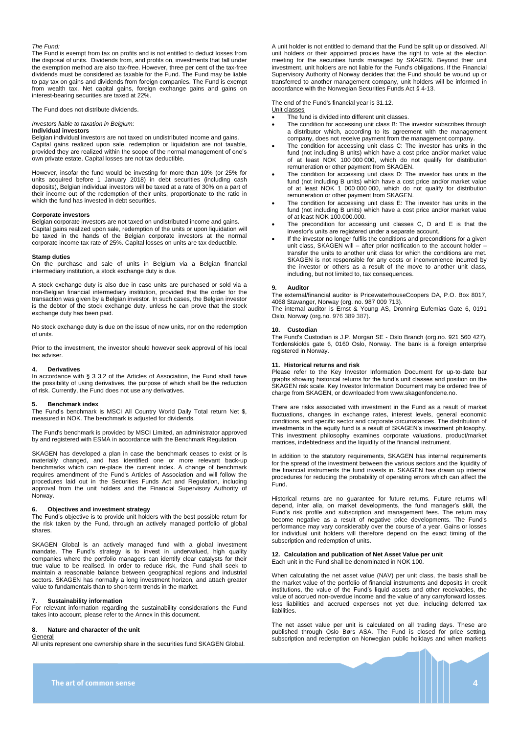#### *The Fund:*

The Fund is exempt from tax on profits and is not entitled to deduct losses from the disposal of units. Dividends from, and profits on, investments that fall under the exemption method are also tax-free. However, three per cent of the tax-free dividends must be considered as taxable for the Fund. The Fund may be liable to pay tax on gains and dividends from foreign companies. The Fund is exempt from wealth tax. Net capital gains, foreign exchange gains and gains on interest-bearing securities are taxed at 22%.

The Fund does not distribute dividends.

*Investors liable to taxation in Belgium:*

#### **Individual investors**

Belgian individual investors are not taxed on undistributed income and gains. Capital gains realized upon sale, redemption or liquidation are not taxable, provided they are realized within the scope of the normal management of one's own private estate. Capital losses are not tax deductible.

However, insofar the fund would be investing for more than 10% (or 25% for units acquired before 1 January 2018) in debt securities (including cash deposits), Belgian individual investors will be taxed at a rate of 30% on a part of their income out of the redemption of their units, proportionate to the ratio in which the fund has invested in debt securities.

#### **Corporate investors**

Belgian corporate investors are not taxed on undistributed income and gains. Capital gains realized upon sale, redemption of the units or upon liquidation will be taxed in the hands of the Belgian corporate investors at the normal corporate income tax rate of 25%. Capital losses on units are tax deductible.

#### **Stamp duties**

On the purchase and sale of units in Belgium via a Belgian financial intermediary institution, a stock exchange duty is due.

A stock exchange duty is also due in case units are purchased or sold via a non-Belgian financial intermediary institution, provided that the order for the transaction was given by a Belgian investor. In such cases, the Belgian investor is the debtor of the stock exchange duty, unless he can prove that the stock exchange duty has been paid.

No stock exchange duty is due on the issue of new units, nor on the redemption of units.

Prior to the investment, the investor should however seek approval of his local tax adviser.

#### **4. Derivatives**

In accordance with § 3 3.2 of the Articles of Association, the Fund shall have the possibility of using derivatives, the purpose of which shall be the reduction of risk. Currently, the Fund does not use any derivatives.

#### **5. Benchmark index**

The Fund's benchmark is MSCI All Country World Daily Total return Net \$, measured in NOK. The benchmark is adjusted for dividends.

The Fund's benchmark is provided by MSCI Limited, an administrator approved by and registered with ESMA in accordance with the Benchmark Regulation.

SKAGEN has developed a plan in case the benchmark ceases to exist or is materially changed, and has identified one or more relevant back-up benchmarks which can re-place the current index. A change of benchmark requires amendment of the Fund's Articles of Association and will follow the procedures laid out in the Securities Funds Act and Regulation, including approval from the unit holders and the Financial Supervisory Authority of Norway.

# **6. Objectives and investment strategy**

The Fund's objective is to provide unit holders with the best possible return for the risk taken by the Fund, through an actively managed portfolio of global shares.

SKAGEN Global is an actively managed fund with a global investment mandate. The Fund's strategy is to invest in undervalued, high quality companies where the portfolio managers can identify clear catalysts for their true value to be realised. In order to reduce risk, the Fund shall seek to maintain a reasonable balance between geographical regions and industrial sectors. SKAGEN has normally a long investment horizon, and attach greater value to fundamentals than to short-term trends in the market.

#### **7. Sustainability information**

For relevant information regarding the sustainability considerations the Fund takes into account, please refer to the Annex in this document.

#### **8. Nature and character of the unit**

General All units represent one ownership share in the securities fund SKAGEN Global. A unit holder is not entitled to demand that the Fund be split up or dissolved. All unit holders or their appointed proxies have the right to vote at the election meeting for the securities funds managed by SKAGEN. Beyond their unit investment, unit holders are not liable for the Fund's obligations. If the Financial Supervisory Authority of Norway decides that the Fund should be wound up or transferred to another management company, unit holders will be informed in accordance with the Norwegian Securities Funds Act § 4-13.

The end of the Fund's financial year is 31.12.

Unit classes The fund is divided into different unit classes.

- The condition for accessing unit class B: The investor subscribes through a distributor which, according to its agreement with the management company, does not receive payment from the management company.
- The condition for accessing unit class C: The investor has units in the fund (not including B units) which have a cost price and/or market value of at least NOK 100 000 000, which do not qualify for distribution remuneration or other payment from SKAGEN.
- The condition for accessing unit class D: The investor has units in the fund (not including B units) which have a cost price and/or market value of at least NOK 1 000 000 000, which do not qualify for distribution remuneration or other payment from SKAGEN.
- The condition for accessing unit class E: The investor has units in the fund (not including B units) which have a cost price and/or market value of at least NOK 100.000.000.
- The precondition for accessing unit classes C, D and E is that the investor's units are registered under a separate account.
- If the investor no longer fulfils the conditions and preconditions for a given unit class, SKAGEN will – after prior notification to the account holder transfer the units to another unit class for which the conditions are met. SKAGEN is not responsible for any costs or inconvenience incurred by the investor or others as a result of the move to another unit class, including, but not limited to, tax consequences.

#### **9. Auditor**

The external/financial auditor is PricewaterhouseCoopers DA, P.O. Box 8017, 4068 Stavanger, Norway (org. no. 987 009 713).

The internal auditor is Ernst & Young AS, Dronning Eufemias Gate 6, 0191 Oslo, Norway (org.no. 976 389 387).

#### **10. Custodian**

The Fund's Custodian is J.P. Morgan SE - Oslo Branch (org.no. 921 560 427), Tordenskiolds gate 6, 0160 Oslo, Norway. The bank is a foreign enterprise registered in Norway.

#### **11. Historical returns and risk**

Please refer to the Key Investor Information Document for up-to-date bar graphs showing historical returns for the fund's unit classes and position on the SKAGEN risk scale. Key Investor Information Document may be ordered free of charge from SKAGEN, or downloaded from www.skagenfondene.no.

There are risks associated with investment in the Fund as a result of market fluctuations, changes in exchange rates, interest levels, general economic conditions, and specific sector and corporate circumstances. The distribution of investments in the equity fund is a result of SKAGEN's investment philosophy. This investment philosophy examines corporate valuations, product/market matrices, indebtedness and the liquidity of the financial instrument.

In addition to the statutory requirements, SKAGEN has internal requirements for the spread of the investment between the various sectors and the liquidity of the financial instruments the fund invests in. SKAGEN has drawn up internal the financial instruments the fund invests in. SKAGEN has drawn up internal procedures for reducing the probability of operating errors which can affect the Fund.

Historical returns are no guarantee for future returns. Future returns will depend, inter alia, on market developments, the fund manager's skill, the Fund's risk profile and subscription and management fees. The return may become negative as a result of negative price developments. The Fund's performance may vary considerably over the course of a year. Gains or losses for individual unit holders will therefore depend on the exact timing of the subscription and redemption of units.

#### **12. Calculation and publication of Net Asset Value per unit** Each unit in the Fund shall be denominated in NOK 100.

When calculating the net asset value (NAV) per unit class, the basis shall be the market value of the portfolio of financial instruments and deposits in credit institutions, the value of the Fund's liquid assets and other receivables, the value of accrued non-overdue income and the value of any carryforward losses, less liabilities and accrued expenses not yet due, including deferred tax liabilities.

The net asset value per unit is calculated on all trading days. These are published through Oslo Børs ASA. The Fund is closed for price setting, subscription and redemption on Norwegian public holidays and when markets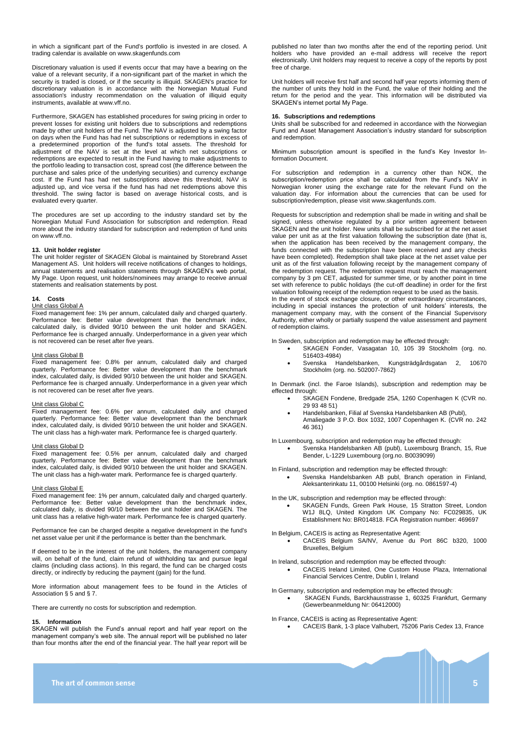in which a significant part of the Fund's portfolio is invested in are closed. A trading calendar is available on www.skagenfunds.com

Discretionary valuation is used if events occur that may have a bearing on the value of a relevant security, if a non-significant part of the market in which the security is traded is closed, or if the security is illiquid. SKAGEN's practice for discretionary valuation is in accordance with the Norwegian Mutual Fund association's industry recommendation on the valuation of illiquid equity instruments, available at www.vff.no.

Furthermore, SKAGEN has established procedures for swing pricing in order to prevent losses for existing unit holders due to subscriptions and redemptions made by other unit holders of the Fund. The NAV is adjusted by a swing factor on days when the Fund has had net subscriptions or redemptions in excess of a predetermined proportion of the fund's total assets. The threshold for adjustment of the NAV is set at the level at which net subscriptions or redemptions are expected to result in the Fund having to make adjustments to the portfolio leading to transaction cost, spread cost (the difference between the purchase and sales price of the underlying securities) and currency exchange cost. If the Fund has had net subscriptions above this threshold, NAV is adjusted up, and vice versa if the fund has had net redemptions above this threshold. The swing factor is based on average historical costs, and is evaluated every quarter.

The procedures are set up according to the industry standard set by the Norwegian Mutual Fund Association for subscription and redemption. Read more about the industry standard for subscription and redemption of fund units on www.vff.no.

#### **13. Unit holder register**

The unit holder register of SKAGEN Global is maintained by Storebrand Asset Management AS. Unit holders will receive notifications of changes to holdings, annual statements and realisation statements through SKAGEN's web portal, My Page. Upon request, unit holders/nominees may arrange to receive annual statements and realisation statements by post.

# **14. Costs**

#### Unit class Global A

Fixed management fee: 1% per annum, calculated daily and charged quarterly. Performance fee: Better value development than the benchmark index, calculated daily, is divided 90/10 between the unit holder and SKAGEN. Performance fee is charged annually. Underperformance in a given year which is not recovered can be reset after five years.

#### Unit class Global B

Fixed management fee: 0.8% per annum, calculated daily and charged quarterly. Performance fee: Better value development than the benchmark index, calculated daily, is divided 90/10 between the unit holder and SKAGEN. Performance fee is charged annually. Underperformance in a given year which is not recovered can be reset after five years.

#### Unit class Global C

Fixed management fee: 0.6% per annum, calculated daily and charged quarterly. Performance fee: Better value development than the benchmark index, calculated daily, is divided 90/10 between the unit holder and SKAGEN. The unit class has a high-water mark. Performance fee is charged quarterly.

#### Unit class Global D

Fixed management fee: 0.5% per annum, calculated daily and charged quarterly. Performance fee: Better value development than the benchmark index, calculated daily, is divided 90/10 between the unit holder and SKAGEN. The unit class has a high-water mark. Performance fee is charged quarterly.

#### Unit class Global E

Fixed management fee: 1% per annum, calculated daily and charged quarterly. Performance fee: Better value development than the benchmark index, calculated daily, is divided 90/10 between the unit holder and SKAGEN. The unit class has a relative high-water mark. Performance fee is charged quarterly.

Performance fee can be charged despite a negative development in the fund's net asset value per unit if the performance is better than the benchmark.

If deemed to be in the interest of the unit holders, the management company will, on behalf of the fund, claim refund of withholding tax and pursue legal claims (including class actions). In this regard, the fund can be charged costs directly, or indirectly by reducing the payment (gain) for the fund.

More information about management fees to be found in the Articles of Association § 5 and § 7.

There are currently no costs for subscription and redemption.

#### **15. Information**

SKAGEN will publish the Fund's annual report and half year report on the management company's web site. The annual report will be published no later than four months after the end of the financial year. The half year report will be published no later than two months after the end of the reporting period. Unit holders who have provided an e-mail address will receive the report electronically. Unit holders may request to receive a copy of the reports by post free of charge.

Unit holders will receive first half and second half year reports informing them of the number of units they hold in the Fund, the value of their holding and the return for the period and the year. This information will be distributed via SKAGEN's internet portal My Page.

#### **16. Subscriptions and redemptions**

Units shall be subscribed for and redeemed in accordance with the Norwegian Fund and Asset Management Association's industry standard for subscription and redemption.

Minimum subscription amount is specified in the fund's Key Investor Information Document.

For subscription and redemption in a currency other than NOK, the subscription/redemption price shall be calculated from the Fund's NAV in Norwegian kroner using the exchange rate for the relevant Fund on the valuation day. For information about the currencies that can be used for subscription/redemption, please visit www.skagenfunds.com.

Requests for subscription and redemption shall be made in writing and shall be signed, unless otherwise regulated by a prior written agreement between SKAGEN and the unit holder. New units shall be subscribed for at the net asset value per unit as at the first valuation following the subscription date (that is, when the application has been received by the management company, the funds connected with the subscription have been received and any checks have been completed). Redemption shall take place at the net asset value per unit as of the first valuation following receipt by the management company of the redemption request. The redemption request must reach the management company by 3 pm CET, adjusted for summer time, or by another point in time set with reference to public holidays (the cut-off deadline) in order for the first valuation following receipt of the redemption request to be used as the basis. In the event of stock exchange closure, or other extraordinary circumstances, including in special instances the protection of unit holders' interests, the management company may, with the consent of the Financial Supervisory Authority, either wholly or partially suspend the value assessment and payment of redemption claims.

In Sweden, subscription and redemption may be effected through:

- SKAGEN Fonder, Vasagatan 10, 105 39 Stockholm (org. no. 516403-4984)
- Svenska Handelsbanken, Kungsträdgårdsgatan 2, 10670 Stockholm (org. no. 502007-7862)

In Denmark (incl. the Faroe Islands), subscription and redemption may be effected through:

- SKAGEN Fondene, Bredgade 25A, 1260 Copenhagen K (CVR no. 29 93 48 51)
	- Handelsbanken, Filial af Svenska Handelsbanken AB (Publ),
- Amaliegade 3 P.O. Box 1032, 1007 Copenhagen K. (CVR no. 242 46 361)

In Luxembourg, subscription and redemption may be effected through:

• Svenska Handelsbanken AB (publ), Luxembourg Branch, 15, Rue Bender, L-1229 Luxembourg (org.no. B0039099)

In Finland, subscription and redemption may be effected through:

• Svenska Handelsbanken AB publ, Branch operation in Finland, Aleksanterinkatu 11, 00100 Helsinki (org. no. 0861597-4)

In the UK, subscription and redemption may be effected through:

• SKAGEN Funds, Green Park House, 15 Stratton Street, London W1J 8LQ, United Kingdom UK Company No: FC029835, UK Establishment No: BR014818. FCA Registration number: 469697

In Belgium, CACEIS is acting as Representative Agent:

• CACEIS Belgium SA/NV, Avenue du Port 86C b320, 1000 Bruxelles, Belgium

In Ireland, subscription and redemption may be effected through:

- CACEIS Ireland Limited, One Custom House Plaza, International Financial Services Centre, Dublin I, Ireland
- In Germany, subscription and redemption may be effected through: SKAGEN Funds, Barckhausstrasse 1, 60325 Frankfurt, Germany (Gewerbeanmeldung Nr: 06412000)

In France, CACEIS is acting as Representative Agent:

• CACEIS Bank, 1-3 place Valhubert, 75206 Paris Cedex 13, France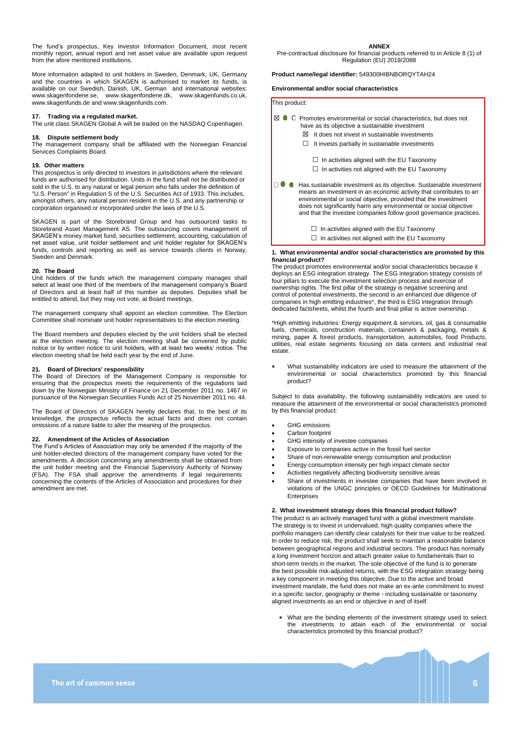The fund's prospectus, Key Investor Information Document, most recent monthly report, annual report and net asset value are available upon request from the afore mentioned institutions.

More information adapted to unit holders in Sweden, Denmark, UK, Germany and the countries in which SKAGEN is authorised to market its funds, is available on our Swedish, Danish, UK, German and international websites: www.skagenfondene.se, [www.skagenfondene.dk,](http://www.skagenfondene.dk/) www.skagenfunds.co.uk, www.skagenfunds.de and [www.skagenfunds.com.](http://www.skagenfunds.com/) 

# **17. Trading via a regulated market.**

The unit class SKAGEN Global A will be traded on the NASDAQ Copenhagen.

## **18. Dispute settlement body**

The management company shall be affiliated with the Norwegian Financial Services Complaints Board.

# **19. Other matters**

This prospectus is only directed to investors in jurisdictions where the relevant funds are authorised for distribution. Units in the fund shall not be distributed or sold in the U.S. to any natural or legal person who falls under the definition of "U.S. Person" in Regulation S of the U.S. Securities Act of 1933. This includes, amongst others, any natural person resident in the U.S. and any partnership or corporation organised or incorporated under the laws of the U.S.

SKAGEN is part of the Storebrand Group and has outsourced tasks to Storebrand Asset Management AS. The outsourcing covers management of SKAGEN's money market fund, securities settlement, accounting, calculation of net asset value, unit holder settlement and unit holder register for SKAGEN's funds, controls and reporting as well as service towards clients in Norway, Sweden and Denmark.

#### **20. The Board**

Unit holders of the funds which the management company manages shall select at least one third of the members of the management company's Board of Directors and at least half of this number as deputies. Deputies shall be entitled to attend, but they may not vote, at Board meetings.

The management company shall appoint an election committee. The Election Committee shall nominate unit holder representatives to the election meeting.

The Board members and deputies elected by the unit holders shall be elected at the election meeting. The election meeting shall be convened by public notice or by written notice to unit holders, with at least two weeks' notice. The election meeting shall be held each year by the end of June.

# **21. Board of Directors' responsibility**

The Board of Directors of the Management Company is responsible for ensuring that the prospectus meets the requirements of the regulations laid down by the Norwegian Ministry of Finance on 21 December 2011 no. 1467 in pursuance of the Norwegian Securities Funds Act of 25 November 2011 no. 44.

The Board of Directors of SKAGEN hereby declares that, to the best of its knowledge, the prospectus reflects the actual facts and does not contain omissions of a nature liable to alter the meaning of the prospectus.

#### **22. Amendment of the Articles of Association**

The Fund's Articles of Association may only be amended if the majority of the unit holder-elected directors of the management company have voted for the amendments. A decision concerning any amendments shall be obtained from the unit holder meeting and the Financial Supervisory Authority of Norway (FSA). The FSA shall approve the amendments if legal requirements concerning the contents of the Articles of Association and procedures for their amendment are met.

#### **ANNEX**

Pre-contractual disclosure for financial products referred to in Article 8 (1) of Regulation (EU) 2019/2088

### **Product name/legal identifier:** 549300HIBNBORQYTAH24

**Environmental and/or social characteristics**

| This product:                                                                                                                                                                                                                                                                                                                                          |
|--------------------------------------------------------------------------------------------------------------------------------------------------------------------------------------------------------------------------------------------------------------------------------------------------------------------------------------------------------|
| ⊠<br>Promotes environmental or social characteristics, but does not<br>have as its objective a sustainable investment<br>It does not invest in sustainable investments<br>IХI<br>It invests partially in sustainable investments                                                                                                                       |
| $\Box$ In activities aligned with the EU Taxonomy<br>In activities not aligned with the EU Taxonomy                                                                                                                                                                                                                                                    |
| Has sustainable investment as its objective. Sustainable investment<br>means an investment in an economic activity that contributes to an<br>environmental or social objective, provided that the investment<br>does not significantly harm any environmental or social objective<br>and that the investee companies follow good governance practices. |
| In activities aligned with the EU Taxonomy<br>In activities not aligned with the EU Taxonomy                                                                                                                                                                                                                                                           |

#### **1. What environmental and/or social characteristics are promoted by this financial product?**

The product promotes environmental and/or social characteristics because it deploys an ESG integration strategy. The ESG integration strategy consists of four pillars to execute the investment selection process and exercise of ownership rights. The first pillar of the strategy is negative screening and control of potential investments, the second is an enhanced due diligence of companies in high emitting industries\*, the third is ESG integration through dedicated factsheets, whilst the fourth and final pillar is active ownership.

\*High emitting industries: Energy equipment & services, oil, gas & consumable fuels, chemicals, construction materials, containers & packaging, metals & mining, paper & forest products, transportation, automobiles, food Products, utilities, real estate segments focusing on data centers and industrial real estate.

• What sustainability indicators are used to measure the attainment of the environmental or social characteristics promoted by this financial product?

Subject to data availability, the following sustainability indicators are used to measure the attainment of the environmental or social characteristics promoted by this financial product:

- GHG emissions
- Carbon footprint
- GHG intensity of investee companies
- Exposure to companies active in the fossil fuel sector
- Share of non-renewable energy consumption and production
- Energy consumption intensity per high impact climate sector
- Activities negatively affecting biodiversity sensitive areas
	- Share of investments in investee companies that have been involved in violations of the UNGC principles or OECD Guidelines for Multinational Enterprises

# **2. What investment strategy does this financial product follow?**

The product is an actively managed fund with a global investment mandate. The strategy is to invest in undervalued, high quality companies where the portfolio managers can identify clear catalysts for their true value to be realized. In order to reduce risk, the product shall seek to maintain a reasonable balance between geographical regions and industrial sectors. The product has normally a long investment horizon and attach greater value to fundamentals than to short-term trends in the market. The sole objective of the fund is to generate the best possible risk-adjusted returns, with the ESG integration strategy being a key component in meeting this objective. Due to the active and broad investment mandate, the fund does not make an ex-ante commitment to invest in a specific sector, geography or theme - including sustainable or taxonomy aligned investments as an end or objective in and of itself.

• What are the binding elements of the investment strategy used to select the investments to attain each of the environmental or social characteristics promoted by this financial product?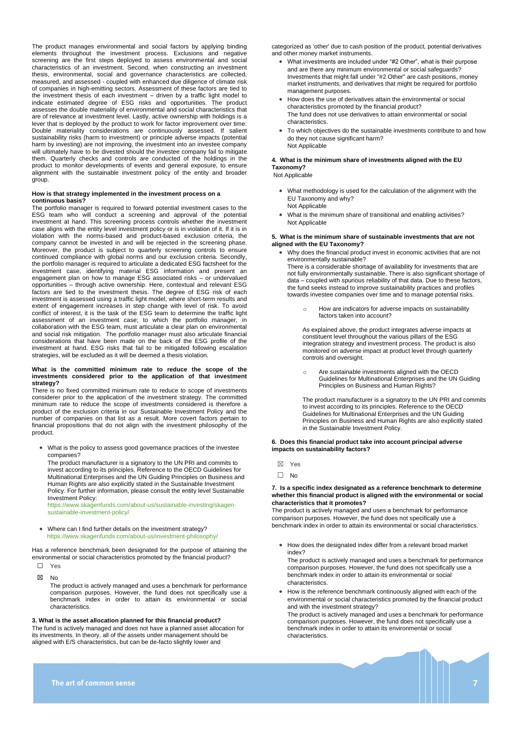The product manages environmental and social factors by applying binding elements throughout the investment process. Exclusions and negative screening are the first steps deployed to assess environmental and social characteristics of an investment. Second, when constructing an investment thesis, environmental, social and governance characteristics are collected, measured, and assessed - coupled with enhanced due diligence of climate risk of companies in high-emitting sectors. Assessment of these factors are tied to the investment thesis of each investment – driven by a traffic light model to indicate estimated degree of ESG risks and opportunities. The product assesses the double materiality of environmental and social characteristics that are of relevance at investment level. Lastly, active ownership with holdings is a lever that is deployed by the product to work for factor improvement over time. Double materiality considerations are continuously assessed. If salient sustainability risks (harm to investment) or principle adverse impacts (potential harm by investing) are not improving, the investment into an investee company will ultimately have to be divested should the investee company fail to mitigate them. Quarterly checks and controls are conducted of the holdings in the product to monitor developments of events and general exposure, to ensure alignment with the sustainable investment policy of the entity and broader group.

# **How is that strategy implemented in the investment process on a continuous basis?**

The portfolio manager is required to forward potential investment cases to the ESG team who will conduct a screening and approval of the potential investment at hand. This screening process controls whether the investment case aligns with the entity level investment policy or is in violation of it. If it is in violation with the norms-based and product-based exclusion criteria, the company cannot be invested in and will be rejected in the screening phase. Moreover, the product is subject to quarterly screening controls to ensure continued compliance with global norms and our exclusion criteria. Secondly, the portfolio manager is required to articulate a dedicated ESG factsheet for the investment case, identifying material ESG information and present an engagement plan on how to manage ESG associated risks – or undervalued opportunities – through active ownership. Here, contextual and relevant ESG factors are tied to the investment thesis. The degree of ESG risk of each investment is assessed using a traffic light model, where short-term results and extent of engagement increases in step change with level of risk. To avoid conflict of interest, it is the task of the ESG team to determine the traffic light assessment of an investment case; to which the portfolio manager, in collaboration with the ESG team, must articulate a clear plan on environmental and social risk mitigation. The portfolio manager must also articulate financial considerations that have been made on the back of the ESG profile of the investment at hand. ESG risks that fail to be mitigated following escalation strategies, will be excluded as it will be deemed a thesis violation.

#### **What is the committed minimum rate to reduce the scope of the investments considered prior to the application of that investment strategy?**

There is no fixed committed minimum rate to reduce to scope of investments considerer prior to the application of the investment strategy. The committed minimum rate to reduce the scope of investments considered is therefore a product of the exclusion criteria in our Sustainable Investment Policy and the number of companies on that list as a result. More covert factors pertain to financial propositions that do not align with the investment philosophy of the product.

• What is the policy to assess good governance practices of the investee companies?

The product manufacturer is a signatory to the UN PRI and commits to invest according to its principles. Reference to the OECD Guidelines for Multinational Enterprises and the UN Guiding Principles on Business and Human Rights are also explicitly stated in the Sustainable Investment Policy. For further information, please consult the entity level Sustainable Investment Policy:

[https://www.skagenfunds.com/about-us/sustainable-investing/skagen](https://www.skagenfunds.com/about-us/sustainable-investing/skagen-sustainable-investment-policy/)[sustainable-investment-policy/](https://www.skagenfunds.com/about-us/sustainable-investing/skagen-sustainable-investment-policy/)

• Where can I find further details on the investment strategy? <https://www.skagenfunds.com/about-us/investment-philosophy/>

Has a reference benchmark been designated for the purpose of attaining the environmental or social characteristics promoted by the financial product?

☐ Yes

☒ No

The product is actively managed and uses a benchmark for performance comparison purposes. However, the fund does not specifically use a benchmark index in order to attain its environmental or social characteristics.

### **3. What is the asset allocation planned for this financial product?**  The fund is actively managed and does not have a planned asset allocation for

its investments. In theory, all of the assets under management should be aligned with E/S characteristics, but can be de-facto slightly lower and

categorized as 'other' due to cash position of the product, potential derivatives and other money market instruments.

- What investments are included under "#2 Other", what is their purpose and are there any minimum environmental or social safeguards? Investments that might fall under "#2 Other" are cash positions, money market instruments, and derivatives that might be required for portfolio management purposes.
- How does the use of derivatives attain the environmental or social characteristics promoted by the financial product? The fund does not use derivatives to attain environmental or social characteristics.
- To which objectives do the sustainable investments contribute to and how do they not cause significant harm? Not Applicable

# **4. What is the minimum share of investments aligned with the EU Taxonomy?**

Not Applicable

- What methodology is used for the calculation of the alignment with the EU Taxonomy and why? Not Applicable
- What is the minimum share of transitional and enabling activities? Not Applicable

# **5. What is the minimum share of sustainable investments that are not aligned with the EU Taxonomy?**

• Why does the financial product invest in economic activities that are not environmentally sustainable? There is a considerable shortage of availability for investments that are not fully environmentally sustainable. There is also significant shortage of data – coupled with spurious reliability of that data. Due to these factors, the fund seeks instead to improve sustainability practices and profiles

towards investee companies over time and to manage potential risks.

o How are indicators for adverse impacts on sustainability factors taken into account?

As explained above, the product integrates adverse impacts at constituent level throughout the various pillars of the ESG integration strategy and investment process. The product is also monitored on adverse impact at product level through quarterly controls and oversight.

o Are sustainable investments aligned with the OECD Guidelines for Multinational Enterprises and the UN Guiding Principles on Business and Human Rights?

The product manufacturer is a signatory to the UN PRI and commits to invest according to its principles. Reference to the OECD Guidelines for Multinational Enterprises and the UN Guiding Principles on Business and Human Rights are also explicitly stated in the Sustainable Investment Policy.

### **6. Does this financial product take into account principal adverse impacts on sustainability factors?**

☒ Yes

☐ No

#### **7. Is a specific index designated as a reference benchmark to determine whether this financial product is aligned with the environmental or social characteristics that it promotes?**

The product is actively managed and uses a benchmark for performance comparison purposes. However, the fund does not specifically use a benchmark index in order to attain its environmental or social characteristics.

• How does the designated index differ from a relevant broad market index?

The product is actively managed and uses a benchmark for performance comparison purposes. However, the fund does not specifically use a benchmark index in order to attain its environmental or social characteristics.

• How is the reference benchmark continuously aligned with each of the environmental or social characteristics promoted by the financial product and with the investment strategy?

The product is actively managed and uses a benchmark for performance comparison purposes. However, the fund does not specifically use a benchmark index in order to attain its environmental or social characteristics.